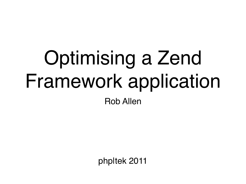# Optimising a Zend Framework application

Rob Allen

php|tek 2011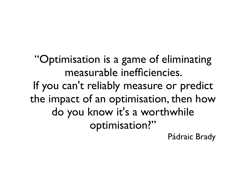"Optimisation is a game of eliminating measurable inefficiencies. If you can't reliably measure or predict the impact of an optimisation, then how do you know it's a worthwhile optimisation?"

[Pádraic Brady](http://www.google.co.uk/url?sa=t&source=web&cd=6&ved=0CDsQFjAF&url=http%3A%2F%2Fblog.astrumfutura.com%2F2009%2F02%2Fphp-mutation-testing-with-mutateme%2F&ei=pFhQTbbpN4OqhAeY1aGoDg&usg=AFQjCNFAJzmyud46wlhvOXOi5_aLl73tGA)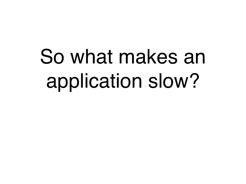## So what makes an application slow?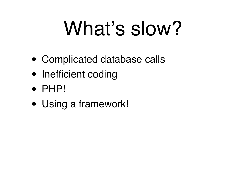## What's slow?

- Complicated database calls
- Inefficient coding
- PHP!
- Using a framework!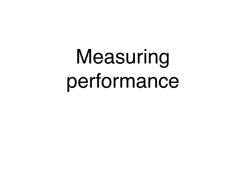## Measuring performance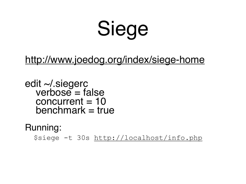## Siege

#### <http://www.joedog.org/index/siege-home>

edit ~/.siegerc<br>verbose = false  $concurrent = 10$  $benchmark = true$ 

Running:

\$siege -t 30s<http://localhost/info.php>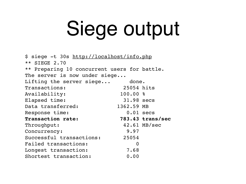## Siege output

\$ siege -t 30s<http://localhost/info.php> \*\* SIEGE 2.70 \*\* Preparing 10 concurrent users for battle. The server is now under siege... Lifting the server siege... done. Transactions: 25054 hits Availability: 100.00 % Elapsed time: 31.98 secs Data transferred: 1362.59 MB Response time: 0.01 secs **Transaction rate: 783.43 trans/sec** Throughput: 42.61 MB/sec Concurrency: 9.97 Successful transactions: 25054 Failed transactions: 0 Longest transaction: 7.68 Shortest transaction: 0.00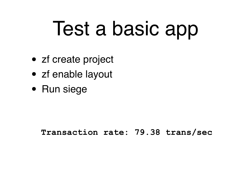## Test a basic app

- zf create project
- zf enable layout
- Run siege

**Transaction rate: 79.38 trans/sec**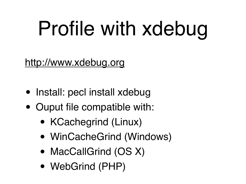## Profile with xdebug

#### <http://www.xdebug.org>

- Install: pecl install xdebug
- Ouput file compatible with:
	- KCachegrind (Linux)
	- WinCacheGrind (Windows)
	- MacCallGrind (OS X)
	- WebGrind (PHP)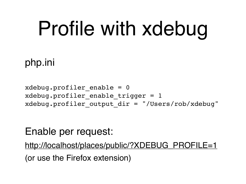## Profile with xdebug

#### php.ini

 $x$ debug.profiler enable = 0 xdebug.profiler enable trigger =  $1$ xdebug.profiler output  $dir = "/Users/rob/xdebug"$ 

#### Enable per request:

[http://localhost/places/public/?XDEBUG\\_PROFILE=1](http://localhost/places/public/?XDEBUG_PROFILE=1) (or use the Firefox extension)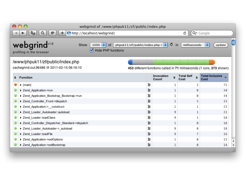|                                                                                                                                                                                                                                                         | AOO<br>webgrind of /www/phpuk11/zf/public/index.php |   |                     |                  |                                            |                                                                       |  |  |  |  |
|---------------------------------------------------------------------------------------------------------------------------------------------------------------------------------------------------------------------------------------------------------|-----------------------------------------------------|---|---------------------|------------------|--------------------------------------------|-----------------------------------------------------------------------|--|--|--|--|
| http://localhost/webgrind/<br>Q <sup>v</sup> Google<br>1P<br>Ċ<br>÷.                                                                                                                                                                                    |                                                     |   |                     |                  |                                            |                                                                       |  |  |  |  |
| webgrindv1.0<br>phpuk11/zf/public/index.php $\left(\begin{array}{c} \uparrow \\ \uparrow \end{array}\right)$ $\mathbb C$<br>$100\%$ $\div$<br>in<br>Show<br>milliseconds<br>update<br>of.<br><b>Hide PHP functions</b><br>☑<br>profiling in the browser |                                                     |   |                     |                  |                                            |                                                                       |  |  |  |  |
| /www/phpuk11/zf/public/index.php                                                                                                                                                                                                                        |                                                     |   |                     |                  |                                            |                                                                       |  |  |  |  |
|                                                                                                                                                                                                                                                         | cachegrind.out.96486 @ 2011-02-15 06:16:10          |   |                     |                  |                                            | 453 different functions called in 71 milliseconds (1 runs, 373 shown) |  |  |  |  |
| ÷                                                                                                                                                                                                                                                       | <b>Function</b>                                     |   | Invocation<br>Count | $\ddot{\bullet}$ | <b>Total Self</b><br>$\Rightarrow$<br>Cost | <b>Total Inclusive</b><br>Cost                                        |  |  |  |  |
|                                                                                                                                                                                                                                                         | $\blacktriangleright$ {main}                        | ≣ |                     | 1                |                                            | 71                                                                    |  |  |  |  |
|                                                                                                                                                                                                                                                         | ▶ Zend_Application->run                             | ≣ |                     | 1                | 0                                          | 34                                                                    |  |  |  |  |
|                                                                                                                                                                                                                                                         | ▶ Zend_Application_Bootstrap_Bootstrap->run         | 盲 |                     | 1                | 0                                          | 34                                                                    |  |  |  |  |
|                                                                                                                                                                                                                                                         | ▶ Zend_Controller_Front->dispatch                   | ≣ |                     | 1                | 5                                          | 33                                                                    |  |  |  |  |
|                                                                                                                                                                                                                                                         | ▶ Zend_Application->__construct                     | 盲 |                     | 1                |                                            | 23                                                                    |  |  |  |  |
|                                                                                                                                                                                                                                                         | ▶ Zend_Loader_Autoloader::autoload                  | ≣ |                     | 9                |                                            | 21                                                                    |  |  |  |  |
|                                                                                                                                                                                                                                                         | > Zend_Loader::loadClass                            | ₿ |                     | 9                |                                            | 18                                                                    |  |  |  |  |
|                                                                                                                                                                                                                                                         | ▶ Zend_Controller_Dispatcher_Standard->dispatch     | ≣ |                     | 1                | 0                                          | 18                                                                    |  |  |  |  |
|                                                                                                                                                                                                                                                         | > Zend Loader Autoloader-> autoload                 | ₿ |                     | 9                | 0                                          | 18                                                                    |  |  |  |  |
|                                                                                                                                                                                                                                                         | ▶ Zend_Loader::loadFile                             | 盲 |                     | 9                |                                            | 16                                                                    |  |  |  |  |
|                                                                                                                                                                                                                                                         | ▶ Zend_Application->setOptions                      | ≣ |                     |                  | 0                                          | 15                                                                    |  |  |  |  |
|                                                                                                                                                                                                                                                         | ▶ Zend_Application->setBootstrap                    | ≣ |                     | 1                | 0                                          | 14                                                                    |  |  |  |  |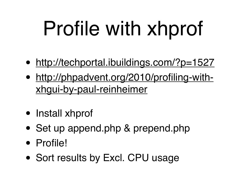## Profile with xhprof

- <http://techportal.ibuildings.com/?p=1527>
- [http://phpadvent.org/2010/profiling-with](http://phpadvent.org/2010/profiling-with-xhgui-by-paul-reinheimer)[xhgui-by-paul-reinheimer](http://phpadvent.org/2010/profiling-with-xhgui-by-paul-reinheimer)
- Install xhprof
- Set up append.php & prepend.php
- Profile!
- Sort results by Excl. CPU usage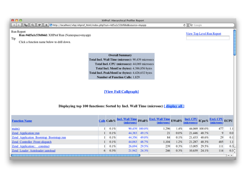

| <b>Function Name</b>                      |   | Calls Calls% | (microsec) |               | <b>Incl. Wall Time</b> IWall % Excl. Wall Time EWall %<br>(microsec) |      | Incl. CPU ICpu%<br>(microsecs) |               | Excl. CPU ECPU<br>(microsec) |                  |
|-------------------------------------------|---|--------------|------------|---------------|----------------------------------------------------------------------|------|--------------------------------|---------------|------------------------------|------------------|
| main()                                    |   | 0.1%         |            | 90,439 100.0% | 1,296                                                                | 1.4% |                                | 44,069 100.0% | 477                          | 1.1              |
| Zend Application::run                     |   | 0.1%         | 44,383     | 49.1%         | 21                                                                   | 0.0% | 21,446                         | 48.7%         | 9                            | 0.0              |
| Zend Application Bootstrap Bootstrap::run |   | 0.1%         | 44,356     | 49.0%         | 84                                                                   | 0.1% | 21,433                         | 48.6%         | 29                           | 0.1              |
| Zend Controller Front: dispatch           |   | 0.1%         | 44,063     | 48.7%         | 1,104                                                                | 1.2% | 21,287                         | 48.3%         | 485                          | 1.1              |
| <b>Zend Application:: construct</b>       |   | 0.1%         | 26,694     | 29.5%         | 239                                                                  | 0.3% | 13,005                         | 29.5%         | 111                          | 0.3              |
| Zend Loader Autoloader::autoload          | 6 | 0.3%         | 21.942     | 24.3%         | 246                                                                  | 0.3% | 10,639                         | 24.1%         | 114                          | 0.3 <sup>2</sup> |
|                                           |   |              |            |               |                                                                      |      |                                |               |                              | $-1 - 1$         |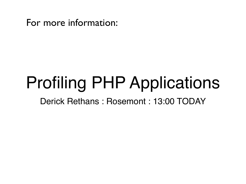For more information:

### Profiling PHP Applications

Derick Rethans : Rosemont : 13:00 TODAY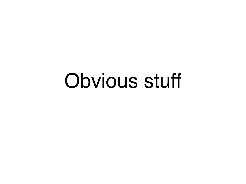### Obvious stuff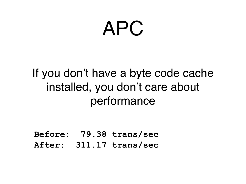### APC

#### If you don't have a byte code cache installed, you don't care about performance

**Before: 79.38 trans/sec After: 311.17 trans/sec**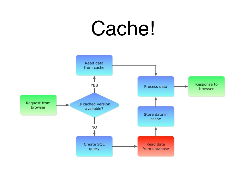### Cache!

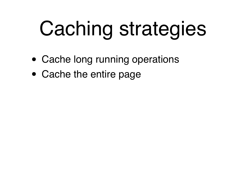## Caching strategies

- Cache long running operations
- Cache the entire page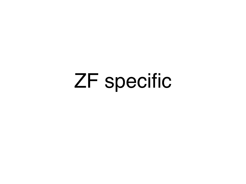### ZF specific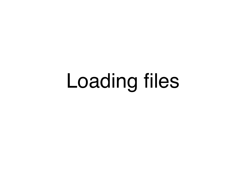### Loading files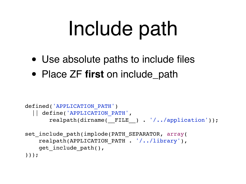## Include path

- Use absolute paths to include files
- Place ZF **first** on include\_path

```
defined('APPLICATION_PATH')
   || define('APPLICATION_PATH', 
       realpath(dirname( FILE ) . '/../application'));
set include path(implode(PATH SEPARATOR, array(
    realpath(APPLICATION PATH . '/../library'),
```

```
get include path(),
```

```
)));
```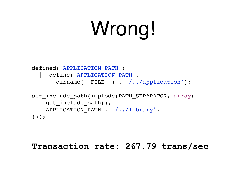## Wrong!

```
defined('APPLICATION_PATH')
   || define('APPLICATION_PATH', 
       dirname( FILE ) . '/../application');
set include path(implode(PATH SEPARATOR, array(
    get include path(),
```

```
 APPLICATION_PATH . '/../library',
```
)));

#### **Transaction rate: 267.79 trans/sec**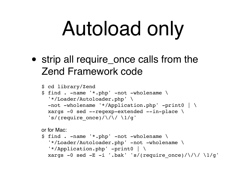## Autoload only

• strip all require\_once calls from the Zend Framework code

```
$ cd library/Zend
$ find . -name '*.php' -not -wholename \
   '*/Loader/Autoloader.php' \
   -not -wholename '*/Application.php' -print0 | \
   xargs -0 sed --regexp-extended --in-place \
  's/(require once)/\langle \rangle / \langle \rangle / 1/g'
```
or for Mac:

```
$ find . -name '*.php' -not -wholename \
  '*/Loader/Autoloader.php' -not -wholename \
   '*/Application.php' -print0 | \
 xargs -0 sed -E -i '.bak' 's/(require once)/\/\/ \1/g'
```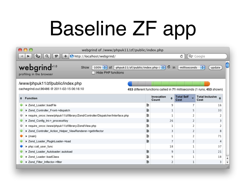# Baseline ZF app

| A O<br>webgrind of /www/phpuk11/zf/public/index.php                                                                                                                                              |                                                                                |   |                     |            |                           |                                     |                         |  |  |  |
|--------------------------------------------------------------------------------------------------------------------------------------------------------------------------------------------------|--------------------------------------------------------------------------------|---|---------------------|------------|---------------------------|-------------------------------------|-------------------------|--|--|--|
| http://localhost/webgrind/<br>Q <sup>v</sup> Google<br>٠,<br>1P<br>Ċ<br>Q                                                                                                                        |                                                                                |   |                     |            |                           |                                     |                         |  |  |  |
| webgrindv1.0<br>¢<br>phpuk11/zf/public/index.php $(\cdot, \cdot)$<br>$100\%$ $\div$<br>.in<br>milliseconds<br>÷<br>update<br>Show<br>0f<br><b>Hide PHP functions</b><br>profiling in the browser |                                                                                |   |                     |            |                           |                                     |                         |  |  |  |
|                                                                                                                                                                                                  | /www/phpuk11/zf/public/index.php                                               |   |                     |            |                           |                                     |                         |  |  |  |
| cachegrind.out.96486 @ 2011-02-15 06:16:10<br>453 different functions called in 71 milliseconds (1 runs, 453 shown)                                                                              |                                                                                |   |                     |            |                           |                                     |                         |  |  |  |
|                                                                                                                                                                                                  | <b>Function</b>                                                                |   | Invocation<br>Count | $\ddot{•}$ | <b>Total Self</b><br>Cost | <b>Total Inclusive</b><br>≜<br>Cost |                         |  |  |  |
|                                                                                                                                                                                                  | ▶ Zend_Loader::loadFile                                                        | ≣ |                     | 9          |                           | 16                                  |                         |  |  |  |
|                                                                                                                                                                                                  | ▶ Zend_Controller_Front->dispatch                                              | 享 |                     | 1          | 5                         | 33                                  |                         |  |  |  |
|                                                                                                                                                                                                  | require_once::/www/phpuk11/zf/library/Zend/Controller/Dispatcher/Interface.php | 盲 |                     | 1          | 2                         | 2                                   |                         |  |  |  |
|                                                                                                                                                                                                  | ▶ Zend_Config_Ini->_processKey                                                 | 盲 |                     | 26         | 2                         | 3                                   |                         |  |  |  |
|                                                                                                                                                                                                  | require_once::/www/phpuk11/zf/library/Zend/View.php                            | ≣ |                     | 1          | 2                         | 2                                   |                         |  |  |  |
|                                                                                                                                                                                                  | ▶ Zend_Controller_Action_Helper_ViewRenderer->getInflector                     | ≣ |                     | 3          | 2                         | 8                                   |                         |  |  |  |
|                                                                                                                                                                                                  | $\blacktriangleright$ {main}                                                   | ≣ |                     | 1          | 2                         | 71                                  |                         |  |  |  |
|                                                                                                                                                                                                  | ▶ Zend_Loader_PluginLoader->load                                               | 盲 |                     | 7          | 2                         | 4                                   |                         |  |  |  |
|                                                                                                                                                                                                  | php::call_user_func                                                            |   |                     | 18         | 1                         | 37                                  |                         |  |  |  |
|                                                                                                                                                                                                  | ▶ Zend_Loader_Autoloader::autoload                                             | 皀 |                     | 9          | 1                         | 21                                  |                         |  |  |  |
|                                                                                                                                                                                                  | > Zend_Loader::loadClass                                                       | 盲 |                     | 9          | 1                         | 18                                  |                         |  |  |  |
|                                                                                                                                                                                                  | ▶ Zend_Filter_Inflector->filter                                                | ≣ |                     | 2          | 1                         | 3                                   | $\overline{\mathbf{v}}$ |  |  |  |
|                                                                                                                                                                                                  |                                                                                |   |                     |            |                           |                                     |                         |  |  |  |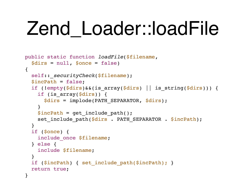### Zend Loader::loadFile

```
public static function loadFile($filename, 
   $dirs = null, $once = false)
\{self:: securityCheck($filename);
   $incPath = false;
   if (!empty($dirs)&&(is_array($dirs) || is_string($dirs))) {
    if (is array($dirs)) {
       $dirs = implode(PATH_SEPARATOR, $dirs);
 }
    $incPath = get include path();
    set include path($dirs . PATH SEPARATOR . $incPath);
 }
   if ($once) {
    include once $filename;
   } else {
     include $filename;
   }
   if ($incPath) { set_include_path($incPath); }
   return true;
}
```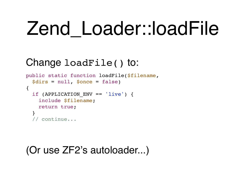### Zend Loader::loadFile

#### Change loadFile() to:

```
public static function loadFile($filename, 
   $dirs = null, $once = false)
\{if (APPLICATION ENV == 'live') {
     include $filename;
     return true;
   }
   // continue...
```
#### (Or use ZF2's autoloader...)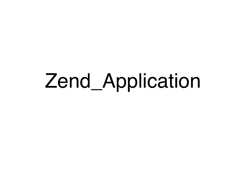### Zend\_Application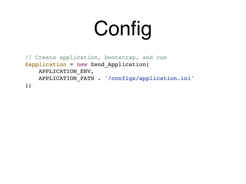## Config

```
// Create application, bootstrap, and run
$application = new Zend_Application(
    APPLICATION_ENV,
    APPLICATION_PATH . '/configs/application.ini'
);
```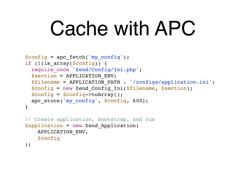### Cache with APC

```
$config = apc_fetch('my_config');
if (!(is array($config)) {
  require once 'Zend/Config/Ini.php';
   $section = APPLICATION_ENV;
   $filename = APPLICATION_PATH . '/configs/application.ini';
   $config = new Zend_Config_Ini($filename, $section);
   $config = $config->toArray();
  apc store('my config', $config, 600);
}
// Create application, bootstrap, and run
$application = new Zend_Application(
    APPLICATION_ENV,
    $config
);
```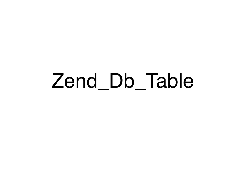### Zend\_Db\_Table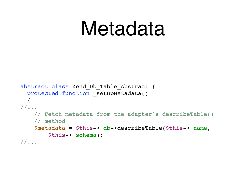### Metadata

```
abstract class Zend_Db_Table_Abstract {
  protected function setupMetadata()
  \left\{ \right.//...
     // Fetch metadata from the adapter's describeTable()
     // method
    $metadata = $this->db->describeTable ($this->name, $this->_schema);
//...
```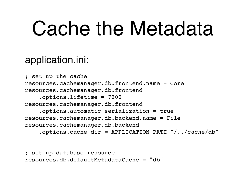### Cache the Metadata

#### application.ini:

; set up the cache resources.cachemanager.db.frontend.name = Core resources.cachemanager.db.frontend .options.lifetime = 7200 resources.cachemanager.db.frontend .options.automatic\_serialization = true resources.cachemanager.db.backend.name = File resources.cachemanager.db.backend .options.cache\_dir = APPLICATION\_PATH "/../cache/db"

; set up database resource resources.db.defaultMetadataCache = "db"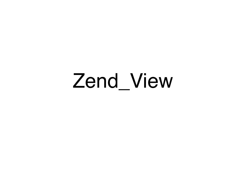### Zend\_View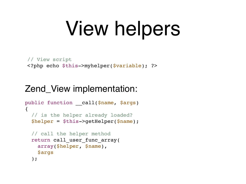## View helpers

```
// View script
<?php echo $this->myhelper($variable); ?>
```
#### Zend\_View implementation:

```
public function call($name, $args)
\{ // is the helper already loaded?
   $helper = $this->getHelper($name);
   // call the helper method
  return call user func array(
     array($helper, $name),
     $args
   );
```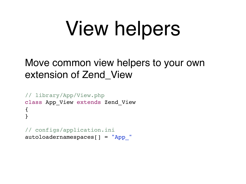## View helpers

#### Move common view helpers to your own extension of Zend\_View

```
// library/App/View.php
class App_View extends Zend_View
{
}
```
// configs/application.ini autoloadernamespaces[] = "App\_"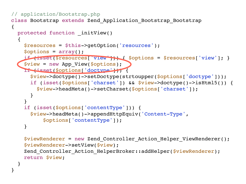```
// application/Bootstrap.php
class Bootstrap extends Zend_Application_Bootstrap_Bootstrap
\mathcal{L}protected function initView()
  \left\{ \right. $resources = $this->getOption('resources');
     $options = array();
     if (isset($resources['view'])) { $options = $resources['view']; }
     $view = new App_View($options);
     if (isset($options['doctype'])) {
       $view->doctype()->setDoctype(strtoupper($options['doctype']));
       if (isset($options['charset']) && $view->doctype()->isHtml5()) {
         $view->headMeta()->setCharset($options['charset']);
       }
 }
     if (isset($options['contentType'])) {
       $view->headMeta()->appendHttpEquiv('Content-Type', 
           $options['contentType']);
     }
     $viewRenderer = new Zend_Controller_Action_Helper_ViewRenderer();
     $viewRenderer->setView($view);
    Zend Controller Action HelperBroker::addHelper($viewRenderer);
     return $view;
 }
```
}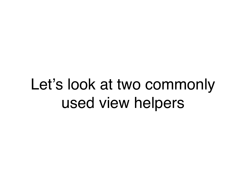### Let's look at two commonly used view helpers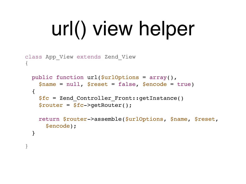## url() view helper

```
class App_View extends Zend_View
\{public function url($urlOptions = array(),
     $name = null, $reset = false, $encode = true)
  \{$fc = Zend Controller Front::getInstance()
     $router = $fc->getRouter();
     return $router->assemble($urlOptions, $name, $reset,
       $encode);
   }
}
```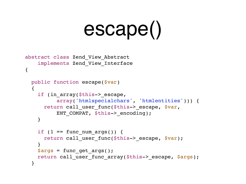## escape()

```
abstract class Zend_View_Abstract 
     implements Zend_View_Interface
{
   public function escape($var)
   {
    if (in array($this-> escape,
            array('htmlspecialchars', 'htmlentities'))) {
      return call user func($this-> escape, $var,
           ENT COMPAT, $this-> encoding);
     }
    if (1 == func num args()) {
      return call user func($this-> escape, $var);
 }
    \texttt{Sargs} = \texttt{func} get \texttt{args}() ;
    return call user func array($this-> escape, $args);
   }
```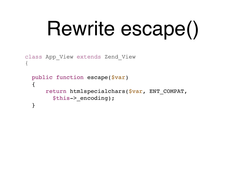## Rewrite escape()

```
class App_View extends Zend_View
\{ public function escape($var)
  \{ return htmlspecialchars($var, ENT_COMPAT, 
         $this->_encoding);
   }
```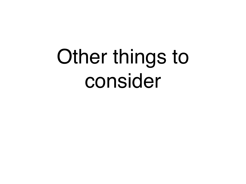## Other things to consider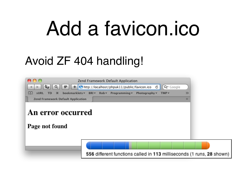### Add a favicon.ico

#### Avoid ZF 404 handling!

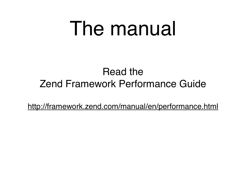### The manual

#### Read the Zend Framework Performance Guide

<http://framework.zend.com/manual/en/performance.html>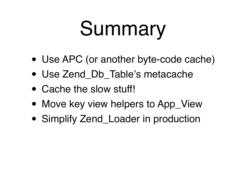## Summary

- Use APC (or another byte-code cache)
- Use Zend\_Db\_Table's metacache
- Cache the slow stuff!
- Move key view helpers to App\_View
- Simplify Zend\_Loader in production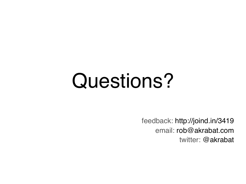### Questions?

feedback: http://joind.in/3419 email: [rob@akrabat.com](mailto:rob@akrabat.com) twitter: @akrabat